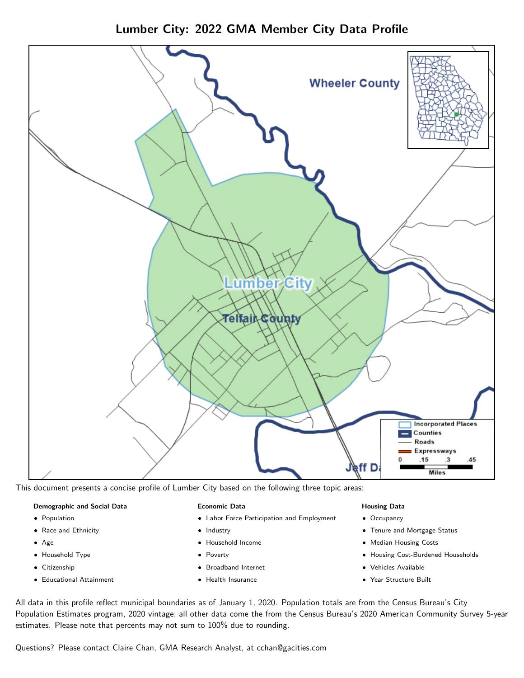Lumber City: 2022 GMA Member City Data Profile



This document presents a concise profile of Lumber City based on the following three topic areas:

### Demographic and Social Data

- **•** Population
- Race and Ethnicity
- Age
- Household Type
- **Citizenship**
- Educational Attainment

### Economic Data

- Labor Force Participation and Employment
- Industry
- Household Income
- Poverty
- Broadband Internet
- Health Insurance

### Housing Data

- Occupancy
- Tenure and Mortgage Status
- Median Housing Costs
- Housing Cost-Burdened Households
- Vehicles Available
- Year Structure Built

All data in this profile reflect municipal boundaries as of January 1, 2020. Population totals are from the Census Bureau's City Population Estimates program, 2020 vintage; all other data come the from the Census Bureau's 2020 American Community Survey 5-year estimates. Please note that percents may not sum to 100% due to rounding.

Questions? Please contact Claire Chan, GMA Research Analyst, at [cchan@gacities.com.](mailto:cchan@gacities.com)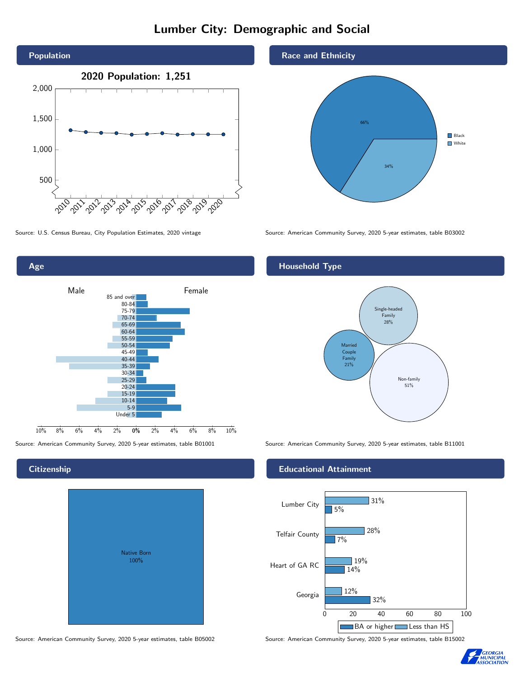# Lumber City: Demographic and Social





Source: American Community Survey, 2020 5-year estimates, table B01001 Source: American Community Survey, 2020 5-year estimates, table B11001

# **Citizenship**

| <b>Native Born</b><br>100% |  |
|----------------------------|--|

Source: American Community Survey, 2020 5-year estimates, table B05002 Source: American Community Survey, 2020 5-year estimates, table B15002

### Race and Ethnicity



Source: U.S. Census Bureau, City Population Estimates, 2020 vintage Source: American Community Survey, 2020 5-year estimates, table B03002

# Household Type



### Educational Attainment



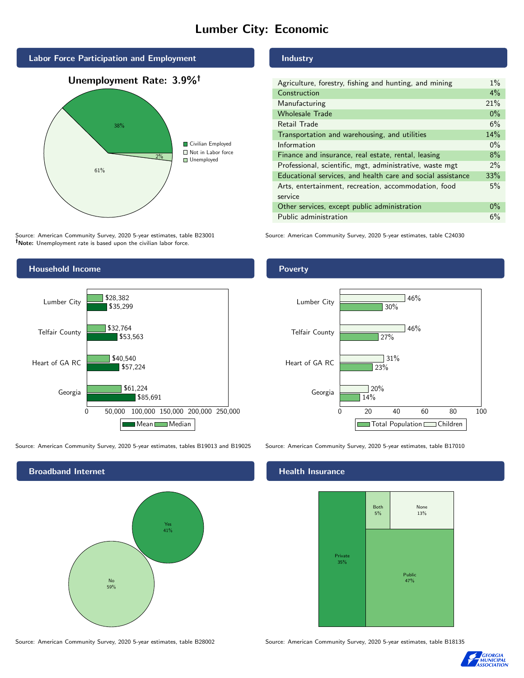# Lumber City: Economic



Source: American Community Survey, 2020 5-year estimates, table B23001 Note: Unemployment rate is based upon the civilian labor force.

#### Industry

| Agriculture, forestry, fishing and hunting, and mining      | $1\%$ |
|-------------------------------------------------------------|-------|
| Construction                                                | 4%    |
| Manufacturing                                               | 21%   |
| <b>Wholesale Trade</b>                                      | $0\%$ |
| Retail Trade                                                | 6%    |
| Transportation and warehousing, and utilities               |       |
| Information                                                 | $0\%$ |
| Finance and insurance, real estate, rental, leasing         |       |
| Professional, scientific, mgt, administrative, waste mgt    |       |
| Educational services, and health care and social assistance |       |
| Arts, entertainment, recreation, accommodation, food        |       |
| service                                                     |       |
| Other services, except public administration                |       |
| Public administration                                       | 6%    |
|                                                             |       |

Source: American Community Survey, 2020 5-year estimates, table C24030



Source: American Community Survey, 2020 5-year estimates, tables B19013 and B19025 Source: American Community Survey, 2020 5-year estimates, table B17010

Broadband Internet No 59% Yes 41%

#### Health Insurance



Source: American Community Survey, 2020 5-year estimates, table B28002 Source: American Community Survey, 2020 5-year estimates, table B18135



## Poverty